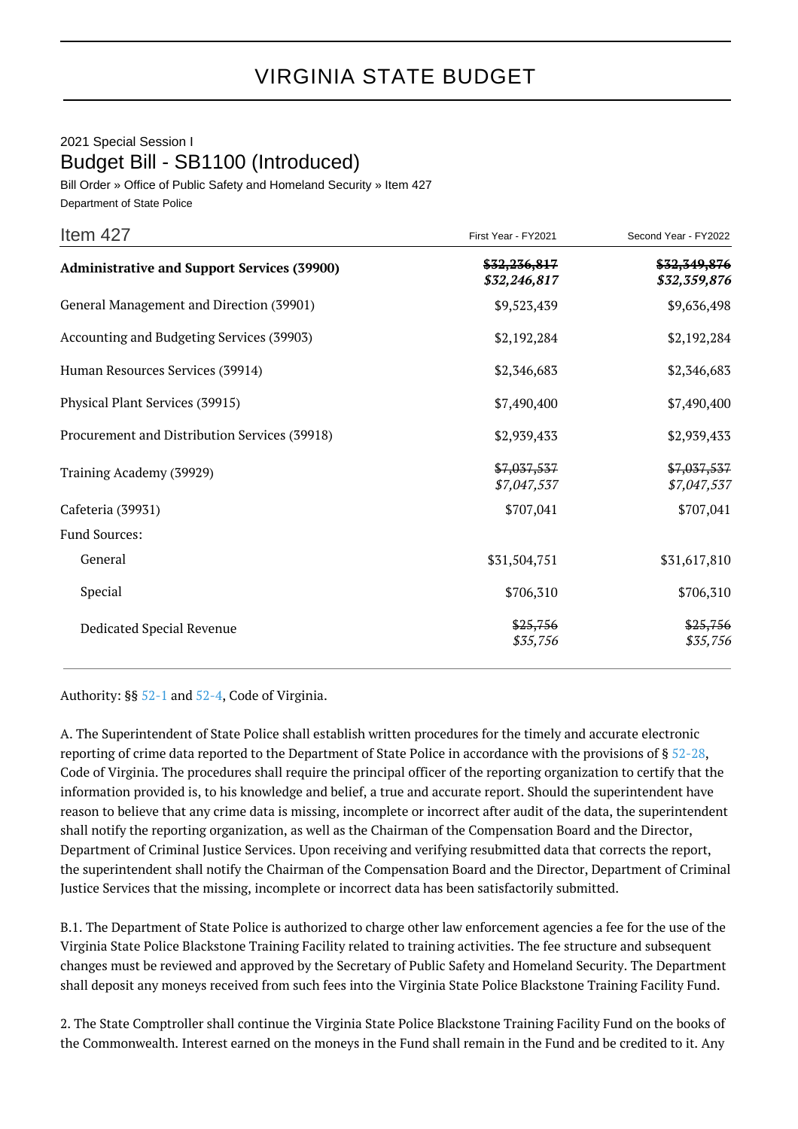## VIRGINIA STATE BUDGET

## 2021 Special Session I Budget Bill - SB1100 (Introduced)

Bill Order » Office of Public Safety and Homeland Security » Item 427 Department of State Police

| Item 427                                           | First Year - FY2021          | Second Year - FY2022         |
|----------------------------------------------------|------------------------------|------------------------------|
| <b>Administrative and Support Services (39900)</b> | \$32,236,817<br>\$32,246,817 | \$32,349,876<br>\$32,359,876 |
| General Management and Direction (39901)           | \$9,523,439                  | \$9,636,498                  |
| Accounting and Budgeting Services (39903)          | \$2,192,284                  | \$2,192,284                  |
| Human Resources Services (39914)                   | \$2,346,683                  | \$2,346,683                  |
| Physical Plant Services (39915)                    | \$7,490,400                  | \$7,490,400                  |
| Procurement and Distribution Services (39918)      | \$2,939,433                  | \$2,939,433                  |
| Training Academy (39929)                           | \$7,037,537<br>\$7,047,537   | \$7,037,537<br>\$7,047,537   |
| Cafeteria (39931)                                  | \$707,041                    | \$707,041                    |
| <b>Fund Sources:</b>                               |                              |                              |
| General                                            | \$31,504,751                 | \$31,617,810                 |
| Special                                            | \$706,310                    | \$706,310                    |
| Dedicated Special Revenue                          | \$25,756<br>\$35,756         | \$25,756<br>\$35,756         |

Authority: §§ [52-1](http://law.lis.virginia.gov/vacode/52-1/) and [52-4,](http://law.lis.virginia.gov/vacode/52-4/) Code of Virginia.

A. The Superintendent of State Police shall establish written procedures for the timely and accurate electronic reporting of crime data reported to the Department of State Police in accordance with the provisions of § [52-28,](http://law.lis.virginia.gov/vacode/52-28/) Code of Virginia. The procedures shall require the principal officer of the reporting organization to certify that the information provided is, to his knowledge and belief, a true and accurate report. Should the superintendent have reason to believe that any crime data is missing, incomplete or incorrect after audit of the data, the superintendent shall notify the reporting organization, as well as the Chairman of the Compensation Board and the Director, Department of Criminal Justice Services. Upon receiving and verifying resubmitted data that corrects the report, the superintendent shall notify the Chairman of the Compensation Board and the Director, Department of Criminal Justice Services that the missing, incomplete or incorrect data has been satisfactorily submitted.

B.1. The Department of State Police is authorized to charge other law enforcement agencies a fee for the use of the Virginia State Police Blackstone Training Facility related to training activities. The fee structure and subsequent changes must be reviewed and approved by the Secretary of Public Safety and Homeland Security. The Department shall deposit any moneys received from such fees into the Virginia State Police Blackstone Training Facility Fund.

2. The State Comptroller shall continue the Virginia State Police Blackstone Training Facility Fund on the books of the Commonwealth. Interest earned on the moneys in the Fund shall remain in the Fund and be credited to it. Any